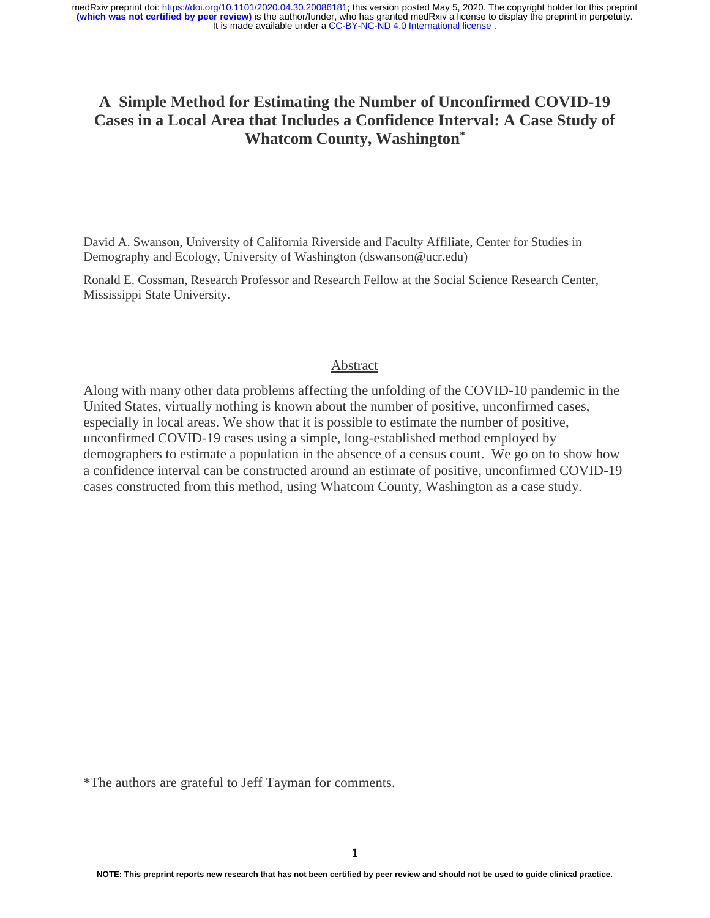# **A Simple Method for Estimating the Number of Unconfirmed COVID-19 Cases in a Local Area that Includes a Confidence Interval: A Case Study of Whatcom County, Washington\***

David A. Swanson, University of California Riverside and Faculty Affiliate, Center for Studies in Demography and Ecology, University of Washington (dswanson@ucr.edu)

Ronald E. Cossman, Research Professor and Research Fellow at the Social Science Research Center, Mississippi State University.

### Abstract

Along with many other data problems affecting the unfolding of the COVID-10 pandemic in the United States, virtually nothing is known about the number of positive, unconfirmed cases, especially in local areas. We show that it is possible to estimate the number of positive, unconfirmed COVID-19 cases using a simple, long-established method employed by demographers to estimate a population in the absence of a census count. We go on to show how a confidence interval can be constructed around an estimate of positive, unconfirmed COVID-19 cases constructed from this method, using Whatcom County, Washington as a case study.

\*The authors are grateful to Jeff Tayman for comments.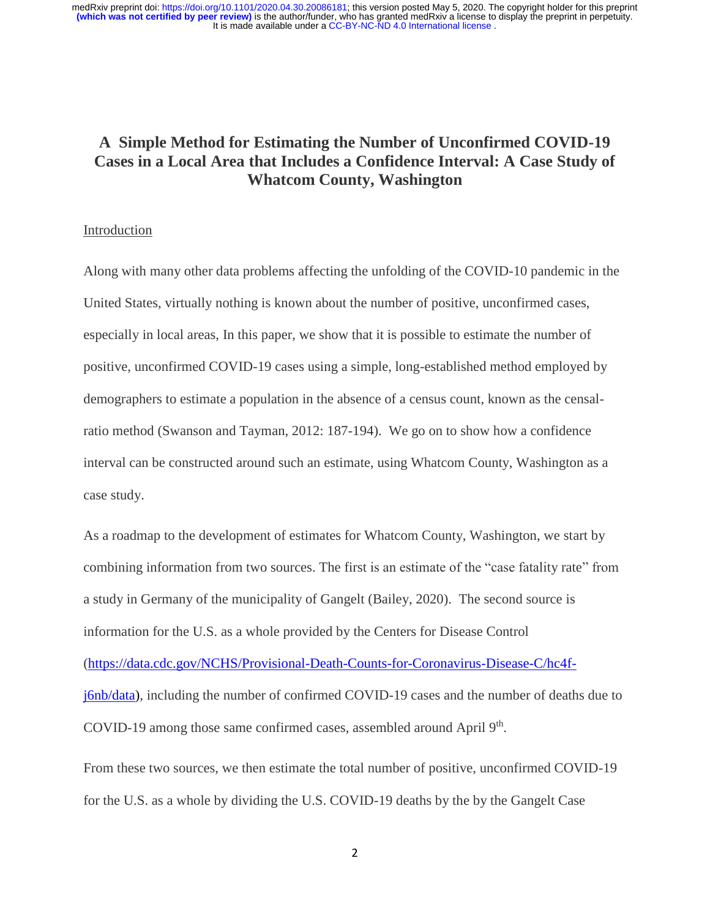# **A Simple Method for Estimating the Number of Unconfirmed COVID-19 Cases in a Local Area that Includes a Confidence Interval: A Case Study of Whatcom County, Washington**

# Introduction

Along with many other data problems affecting the unfolding of the COVID-10 pandemic in the United States, virtually nothing is known about the number of positive, unconfirmed cases, especially in local areas, In this paper, we show that it is possible to estimate the number of positive, unconfirmed COVID-19 cases using a simple, long-established method employed by demographers to estimate a population in the absence of a census count, known as the censalratio method (Swanson and Tayman, 2012: 187-194). We go on to show how a confidence interval can be constructed around such an estimate, using Whatcom County, Washington as a case study.

As a roadmap to the development of estimates for Whatcom County, Washington, we start by combining information from two sources. The first is an estimate of the "case fatality rate" from a study in Germany of the municipality of Gangelt (Bailey, 2020). The second source is information for the U.S. as a whole provided by the Centers for Disease Control [\(https://data.cdc.gov/NCHS/Provisional-Death-Counts-for-Coronavirus-Disease-C/hc4f](https://data.cdc.gov/NCHS/Provisional-Death-Counts-for-Coronavirus-Disease-C/hc4f-j6nb/data)[j6nb/data\)](https://data.cdc.gov/NCHS/Provisional-Death-Counts-for-Coronavirus-Disease-C/hc4f-j6nb/data), including the number of confirmed COVID-19 cases and the number of deaths due to COVID-19 among those same confirmed cases, assembled around April 9<sup>th</sup>.

From these two sources, we then estimate the total number of positive, unconfirmed COVID-19 for the U.S. as a whole by dividing the U.S. COVID-19 deaths by the by the Gangelt Case

2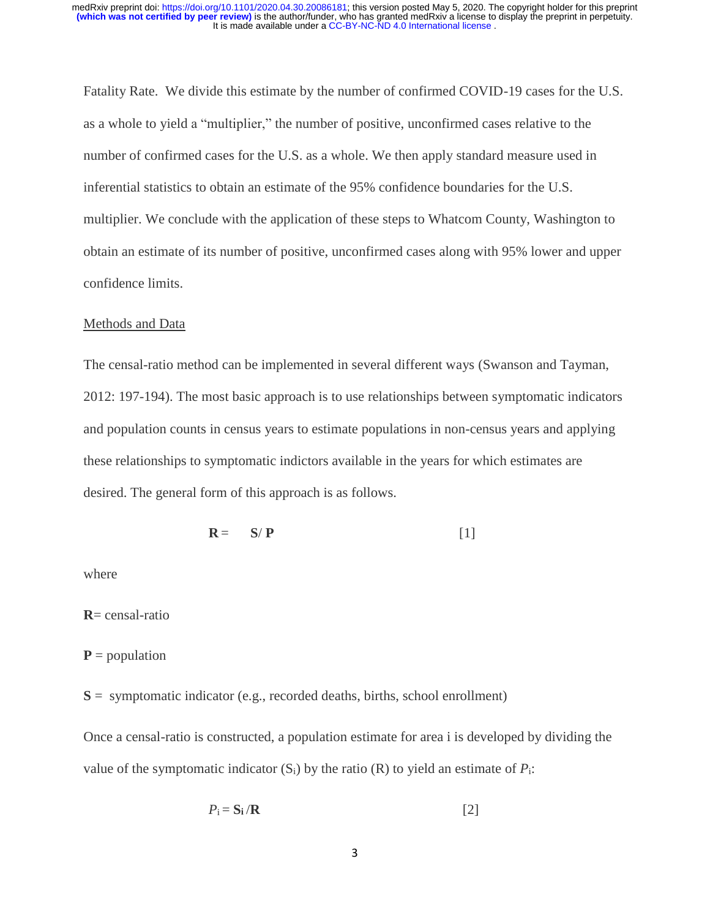Fatality Rate. We divide this estimate by the number of confirmed COVID-19 cases for the U.S. as a whole to yield a "multiplier," the number of positive, unconfirmed cases relative to the number of confirmed cases for the U.S. as a whole. We then apply standard measure used in inferential statistics to obtain an estimate of the 95% confidence boundaries for the U.S. multiplier. We conclude with the application of these steps to Whatcom County, Washington to obtain an estimate of its number of positive, unconfirmed cases along with 95% lower and upper confidence limits.

## Methods and Data

The censal-ratio method can be implemented in several different ways (Swanson and Tayman, 2012: 197-194). The most basic approach is to use relationships between symptomatic indicators and population counts in census years to estimate populations in non-census years and applying these relationships to symptomatic indictors available in the years for which estimates are desired. The general form of this approach is as follows.

$$
\mathbf{R} = \mathbf{S}/\mathbf{P} \tag{1}
$$

where

**R**= censal-ratio

 $P =$  population

**S** = symptomatic indicator (e.g., recorded deaths, births, school enrollment)

Once a censal-ratio is constructed, a population estimate for area i is developed by dividing the value of the symptomatic indicator  $(S_i)$  by the ratio  $(R)$  to yield an estimate of  $P_i$ :

$$
P_{\mathbf{i}} = \mathbf{S}_{\mathbf{i}} / \mathbf{R} \tag{2}
$$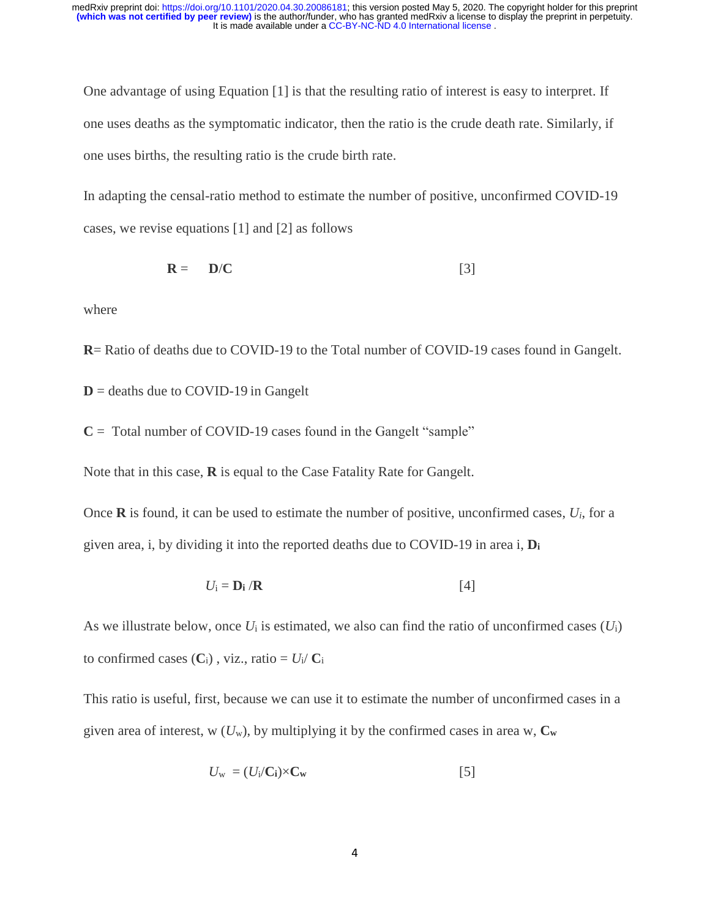One advantage of using Equation [1] is that the resulting ratio of interest is easy to interpret. If one uses deaths as the symptomatic indicator, then the ratio is the crude death rate. Similarly, if one uses births, the resulting ratio is the crude birth rate.

In adapting the censal-ratio method to estimate the number of positive, unconfirmed COVID-19 cases, we revise equations [1] and [2] as follows

$$
\mathbf{R} = \mathbf{D}/\mathbf{C} \tag{3}
$$

where

**R**= Ratio of deaths due to COVID-19 to the Total number of COVID-19 cases found in Gangelt.

 $D =$  deaths due to COVID-19 in Gangelt

 $C =$  Total number of COVID-19 cases found in the Gangelt "sample"

Note that in this case, **R** is equal to the Case Fatality Rate for Gangelt.

Once **R** is found, it can be used to estimate the number of positive, unconfirmed cases, *Ui*, for a given area, i, by dividing it into the reported deaths due to COVID-19 in area i, **D<sup>i</sup>**

$$
U_{\mathbf{i}} = \mathbf{D}_{\mathbf{i}} / \mathbf{R} \tag{4}
$$

As we illustrate below, once  $U_i$  is estimated, we also can find the ratio of unconfirmed cases  $(U_i)$ to confirmed cases  $(C_i)$ , viz., ratio =  $U_i/C_i$ 

This ratio is useful, first, because we can use it to estimate the number of unconfirmed cases in a given area of interest, w  $(U_w)$ , by multiplying it by the confirmed cases in area w,  $C_w$ 

$$
U_{\rm w} = (U_{\rm i}/C_{\rm i}) \times C_{\rm w} \tag{5}
$$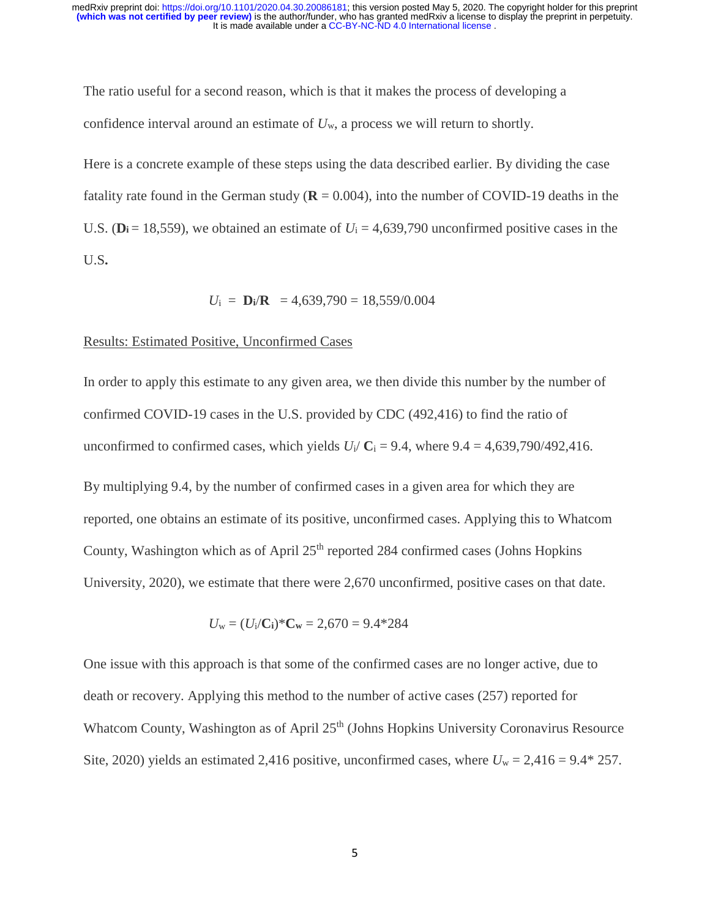The ratio useful for a second reason, which is that it makes the process of developing a confidence interval around an estimate of *U*w, a process we will return to shortly.

Here is a concrete example of these steps using the data described earlier. By dividing the case fatality rate found in the German study ( $\mathbf{R} = 0.004$ ), into the number of COVID-19 deaths in the U.S. ( $D_i = 18,559$ ), we obtained an estimate of  $U_i = 4,639,790$  unconfirmed positive cases in the U.S**.**

$$
U_i =
$$
 **D**<sub>i</sub>R = 4,639,790 = 18,559/0.004

# Results: Estimated Positive, Unconfirmed Cases

In order to apply this estimate to any given area, we then divide this number by the number of confirmed COVID-19 cases in the U.S. provided by CDC (492,416) to find the ratio of unconfirmed to confirmed cases, which yields  $U_i/C_i = 9.4$ , where  $9.4 = 4,639,790/492,416$ .

By multiplying 9.4, by the number of confirmed cases in a given area for which they are reported, one obtains an estimate of its positive, unconfirmed cases. Applying this to Whatcom County, Washington which as of April  $25<sup>th</sup>$  reported 284 confirmed cases (Johns Hopkins University, 2020), we estimate that there were 2,670 unconfirmed, positive cases on that date.

$$
U_{\rm w} = (U_{\rm i}/C_{\rm i})^* C_{\rm w} = 2{,}670 = 9.4^*284
$$

One issue with this approach is that some of the confirmed cases are no longer active, due to death or recovery. Applying this method to the number of active cases (257) reported for Whatcom County, Washington as of April 25<sup>th</sup> (Johns Hopkins University Coronavirus Resource Site, 2020) yields an estimated 2,416 positive, unconfirmed cases, where  $U_w = 2,416 = 9.4*257$ .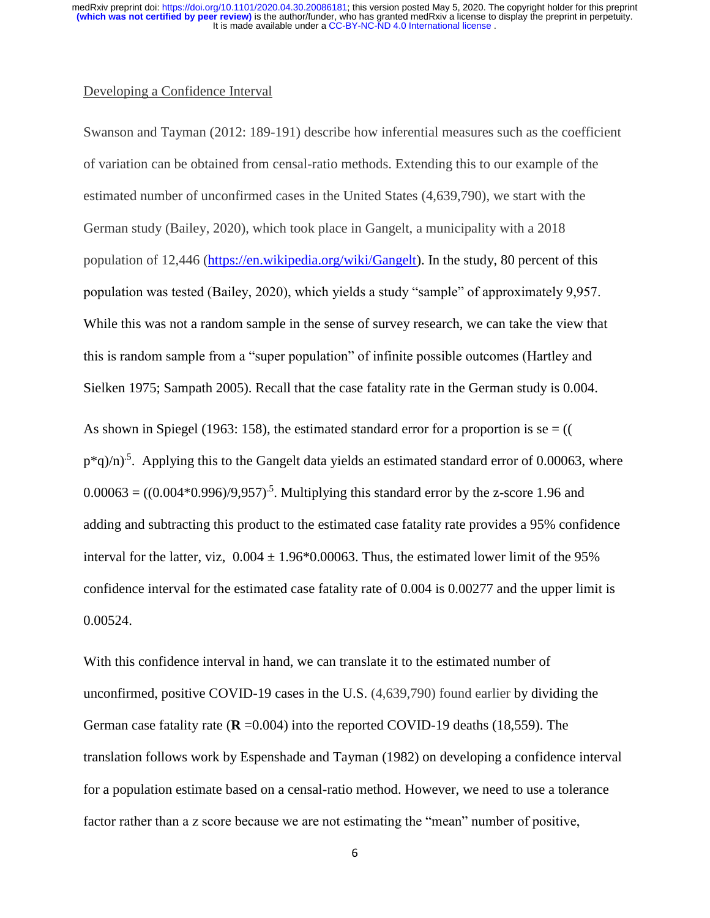### Developing a Confidence Interval

Swanson and Tayman (2012: 189-191) describe how inferential measures such as the coefficient of variation can be obtained from censal-ratio methods. Extending this to our example of the estimated number of unconfirmed cases in the United States (4,639,790), we start with the German study (Bailey, 2020), which took place in Gangelt, a municipality with a 2018 population of 12,446 [\(https://en.wikipedia.org/wiki/Gangelt\)](https://en.wikipedia.org/wiki/Gangelt). In the study, 80 percent of this population was tested (Bailey, 2020), which yields a study "sample" of approximately 9,957. While this was not a random sample in the sense of survey research, we can take the view that this is random sample from a "super population" of infinite possible outcomes (Hartley and Sielken 1975; Sampath 2005). Recall that the case fatality rate in the German study is 0.004. As shown in Spiegel (1963: 158), the estimated standard error for a proportion is se  $=$  ((  $p^*(q)/n$ <sup>5</sup>. Applying this to the Gangelt data yields an estimated standard error of 0.00063, where  $0.00063 = ((0.004*0.996)/9.957)^{-5}$ . Multiplying this standard error by the z-score 1.96 and adding and subtracting this product to the estimated case fatality rate provides a 95% confidence interval for the latter, viz,  $0.004 \pm 1.96 \times 0.00063$ . Thus, the estimated lower limit of the 95% confidence interval for the estimated case fatality rate of 0.004 is 0.00277 and the upper limit is 0.00524.

With this confidence interval in hand, we can translate it to the estimated number of unconfirmed, positive COVID-19 cases in the U.S. (4,639,790) found earlier by dividing the German case fatality rate  $(R = 0.004)$  into the reported COVID-19 deaths (18,559). The translation follows work by Espenshade and Tayman (1982) on developing a confidence interval for a population estimate based on a censal-ratio method. However, we need to use a tolerance factor rather than a z score because we are not estimating the "mean" number of positive,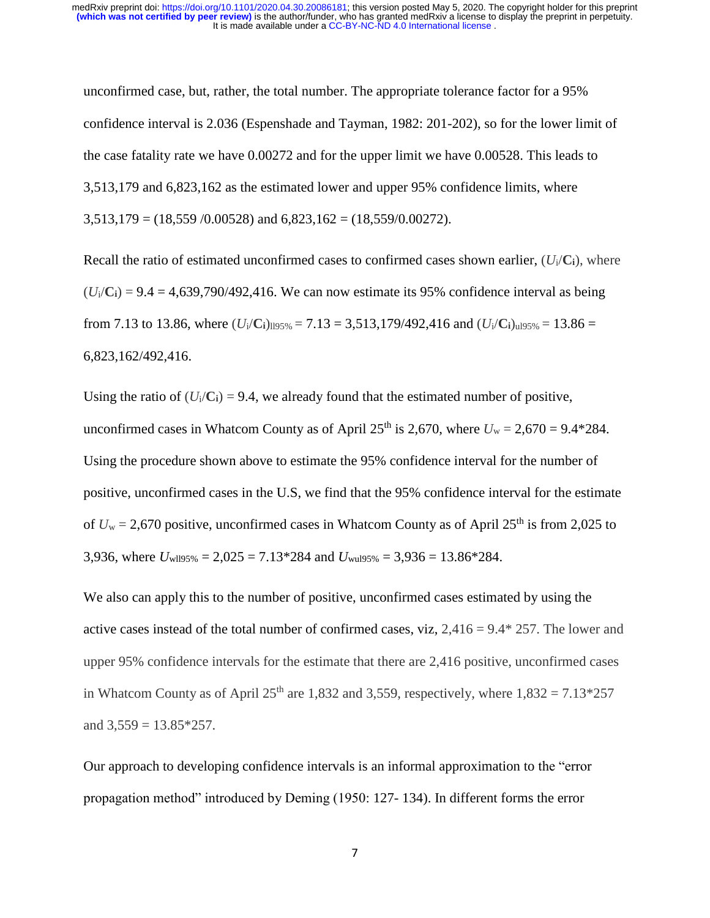unconfirmed case, but, rather, the total number. The appropriate tolerance factor for a 95% confidence interval is 2.036 (Espenshade and Tayman, 1982: 201-202), so for the lower limit of the case fatality rate we have 0.00272 and for the upper limit we have 0.00528. This leads to 3,513,179 and 6,823,162 as the estimated lower and upper 95% confidence limits, where  $3,513,179 = (18,559/0.00528)$  and  $6,823,162 = (18,559/0.00272)$ .

Recall the ratio of estimated unconfirmed cases to confirmed cases shown earlier,  $(U_i/C_i)$ , where  $(U<sub>i</sub>/C<sub>i</sub>) = 9.4 = 4.639,790/492,416$ . We can now estimate its 95% confidence interval as being from 7.13 to 13.86, where  $(U_i/C_i)_{i195\%} = 7.13 = 3,513,179/492,416$  and  $(U_i/C_i)_{i195\%} = 13.86 =$ 6,823,162/492,416.

Using the ratio of  $(U_i/C_i) = 9.4$ , we already found that the estimated number of positive, unconfirmed cases in Whatcom County as of April 25<sup>th</sup> is 2,670, where  $U_w = 2,670 = 9.4*284$ . Using the procedure shown above to estimate the 95% confidence interval for the number of positive, unconfirmed cases in the U.S, we find that the 95% confidence interval for the estimate of  $U_w = 2{,}670$  positive, unconfirmed cases in Whatcom County as of April 25<sup>th</sup> is from 2,025 to 3,936, where  $U_{\text{w195\%}} = 2,025 = 7.13*284$  and  $U_{\text{w195\%}} = 3,936 = 13.86*284$ .

We also can apply this to the number of positive, unconfirmed cases estimated by using the active cases instead of the total number of confirmed cases, viz,  $2.416 = 9.4*257$ . The lower and upper 95% confidence intervals for the estimate that there are 2,416 positive, unconfirmed cases in Whatcom County as of April 25<sup>th</sup> are 1,832 and 3,559, respectively, where  $1,832 = 7.13*257$ and  $3,559 = 13.85 \times 257$ .

Our approach to developing confidence intervals is an informal approximation to the "error propagation method" introduced by Deming (1950: 127- 134). In different forms the error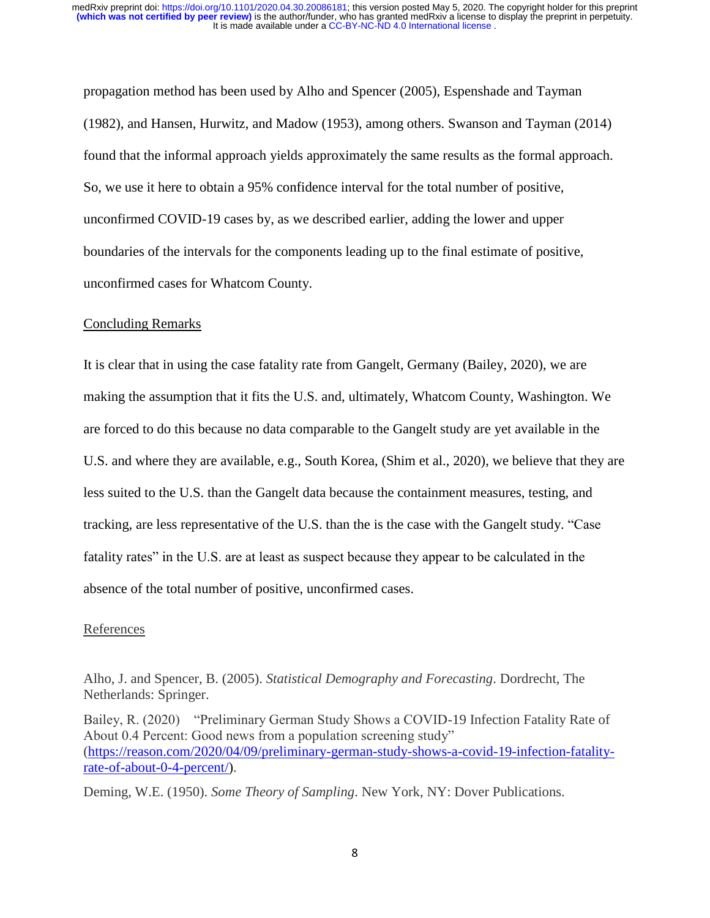propagation method has been used by Alho and Spencer (2005), Espenshade and Tayman (1982), and Hansen, Hurwitz, and Madow (1953), among others. Swanson and Tayman (2014) found that the informal approach yields approximately the same results as the formal approach. So, we use it here to obtain a 95% confidence interval for the total number of positive, unconfirmed COVID-19 cases by, as we described earlier, adding the lower and upper boundaries of the intervals for the components leading up to the final estimate of positive, unconfirmed cases for Whatcom County.

#### Concluding Remarks

It is clear that in using the case fatality rate from Gangelt, Germany (Bailey, 2020), we are making the assumption that it fits the U.S. and, ultimately, Whatcom County, Washington. We are forced to do this because no data comparable to the Gangelt study are yet available in the U.S. and where they are available, e.g., South Korea, (Shim et al., 2020), we believe that they are less suited to the U.S. than the Gangelt data because the containment measures, testing, and tracking, are less representative of the U.S. than the is the case with the Gangelt study. "Case fatality rates" in the U.S. are at least as suspect because they appear to be calculated in the absence of the total number of positive, unconfirmed cases.

#### References

Alho, J. and Spencer, B. (2005). *Statistical Demography and Forecasting*. Dordrecht, The Netherlands: Springer.

Bailey, R. (2020) "Preliminary German Study Shows a COVID-19 Infection Fatality Rate of About 0.4 Percent: Good news from a population screening study" [\(https://reason.com/2020/04/09/preliminary-german-study-shows-a-covid-19-infection-fatality](https://reason.com/2020/04/09/preliminary-german-study-shows-a-covid-19-infection-fatality-rate-of-about-0-4-percent/)[rate-of-about-0-4-percent/\)](https://reason.com/2020/04/09/preliminary-german-study-shows-a-covid-19-infection-fatality-rate-of-about-0-4-percent/).

Deming, W.E. (1950). *Some Theory of Sampling*. New York, NY: Dover Publications.